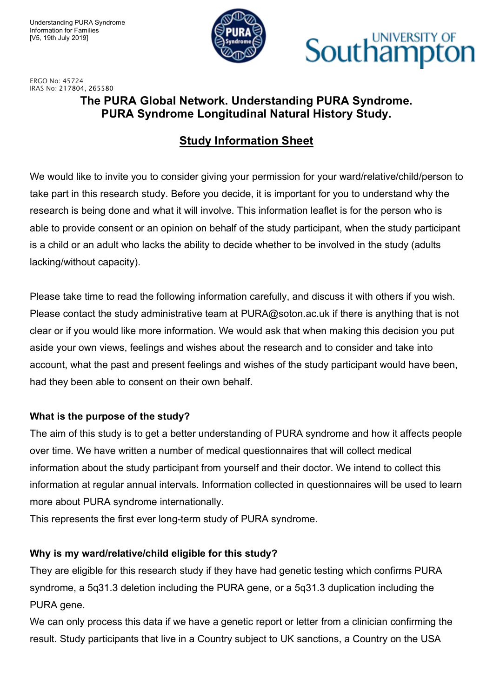

## **Southampton**

ERGO No: 45724 IRAS No: 217804, 265580

### **The PURA Global Network. Understanding PURA Syndrome. PURA Syndrome Longitudinal Natural History Study.**

#### **Study Information Sheet**

We would like to invite you to consider giving your permission for your ward/relative/child/person to take part in this research study. Before you decide, it is important for you to understand why the research is being done and what it will involve. This information leaflet is for the person who is able to provide consent or an opinion on behalf of the study participant, when the study participant is a child or an adult who lacks the ability to decide whether to be involved in the study (adults lacking/without capacity).

Please take time to read the following information carefully, and discuss it with others if you wish. Please contact the study administrative team at PURA@soton.ac.uk if there is anything that is not clear or if you would like more information. We would ask that when making this decision you put aside your own views, feelings and wishes about the research and to consider and take into account, what the past and present feelings and wishes of the study participant would have been, had they been able to consent on their own behalf.

#### **What is the purpose of the study?**

The aim of this study is to get a better understanding of PURA syndrome and how it affects people over time. We have written a number of medical questionnaires that will collect medical information about the study participant from yourself and their doctor. We intend to collect this information at regular annual intervals. Information collected in questionnaires will be used to learn more about PURA syndrome internationally.

This represents the first ever long-term study of PURA syndrome.

#### **Why is my ward/relative/child eligible for this study?**

They are eligible for this research study if they have had genetic testing which confirms PURA syndrome, a 5q31.3 deletion including the PURA gene, or a 5q31.3 duplication including the PURA gene.

We can only process this data if we have a genetic report or letter from a clinician confirming the result. Study participants that live in a Country subject to UK sanctions, a Country on the USA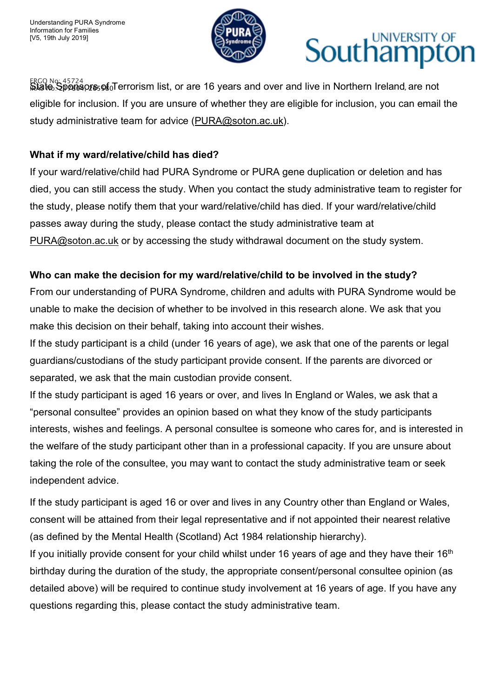

## UNIVERSITY OF Southamp

<sub>ERGO No: 45724</sub><br>ജ്ജിക്<u>ക9</u>pആനുട്ടെള്<sub>0</sub>Terrorism list, or are 16 years and over and live in Northern Ireland, are not eligible for inclusion. If you are unsure of whether they are eligible for inclusion, you can email the study administrative team for advice (PURA@soton.ac.uk).

#### **What if my ward/relative/child has died?**

If your ward/relative/child had PURA Syndrome or PURA gene duplication or deletion and has died, you can still access the study. When you contact the study administrative team to register for the study, please notify them that your ward/relative/child has died. If your ward/relative/child passes away during the study, please contact the study administrative team at PURA@soton.ac.uk or by accessing the study withdrawal document on the study system.

#### **Who can make the decision for my ward/relative/child to be involved in the study?**

From our understanding of PURA Syndrome, children and adults with PURA Syndrome would be unable to make the decision of whether to be involved in this research alone. We ask that you make this decision on their behalf, taking into account their wishes.

If the study participant is a child (under 16 years of age), we ask that one of the parents or legal guardians/custodians of the study participant provide consent. If the parents are divorced or separated, we ask that the main custodian provide consent.

If the study participant is aged 16 years or over, and lives In England or Wales, we ask that a "personal consultee" provides an opinion based on what they know of the study participants interests, wishes and feelings. A personal consultee is someone who cares for, and is interested in the welfare of the study participant other than in a professional capacity. If you are unsure about taking the role of the consultee, you may want to contact the study administrative team or seek independent advice.

If the study participant is aged 16 or over and lives in any Country other than England or Wales, consent will be attained from their legal representative and if not appointed their nearest relative (as defined by the Mental Health (Scotland) Act 1984 relationship hierarchy).

If you initially provide consent for your child whilst under 16 years of age and they have their  $16<sup>th</sup>$ birthday during the duration of the study, the appropriate consent/personal consultee opinion (as detailed above) will be required to continue study involvement at 16 years of age. If you have any questions regarding this, please contact the study administrative team.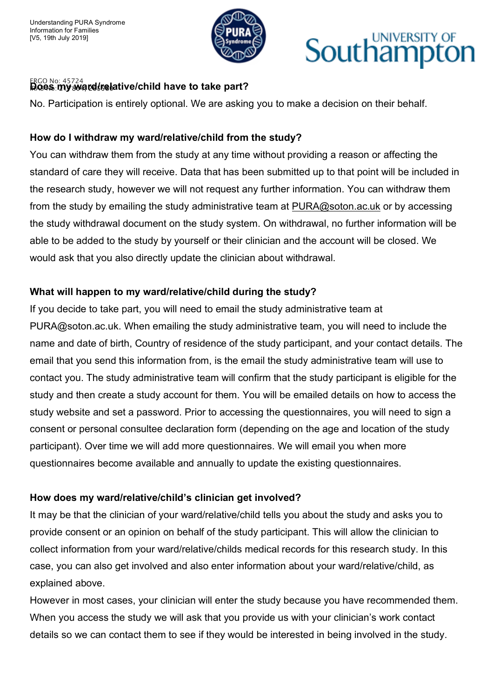

## UNIVERSITY OF Southampt

#### ERGO No: 45724 Does my ward relative/child have to take part?

No. Participation is entirely optional. We are asking you to make a decision on their behalf.

#### **How do I withdraw my ward/relative/child from the study?**

You can withdraw them from the study at any time without providing a reason or affecting the standard of care they will receive. Data that has been submitted up to that point will be included in the research study, however we will not request any further information. You can withdraw them from the study by emailing the study administrative team at PURA@soton.ac.uk or by accessing the study withdrawal document on the study system. On withdrawal, no further information will be able to be added to the study by yourself or their clinician and the account will be closed. We would ask that you also directly update the clinician about withdrawal.

#### **What will happen to my ward/relative/child during the study?**

If you decide to take part, you will need to email the study administrative team at PURA@soton.ac.uk. When emailing the study administrative team, you will need to include the name and date of birth, Country of residence of the study participant, and your contact details. The email that you send this information from, is the email the study administrative team will use to contact you. The study administrative team will confirm that the study participant is eligible for the study and then create a study account for them. You will be emailed details on how to access the study website and set a password. Prior to accessing the questionnaires, you will need to sign a consent or personal consultee declaration form (depending on the age and location of the study participant). Over time we will add more questionnaires. We will email you when more questionnaires become available and annually to update the existing questionnaires.

#### **How does my ward/relative/child's clinician get involved?**

It may be that the clinician of your ward/relative/child tells you about the study and asks you to provide consent or an opinion on behalf of the study participant. This will allow the clinician to collect information from your ward/relative/childs medical records for this research study. In this case, you can also get involved and also enter information about your ward/relative/child, as explained above.

However in most cases, your clinician will enter the study because you have recommended them. When you access the study we will ask that you provide us with your clinician's work contact details so we can contact them to see if they would be interested in being involved in the study.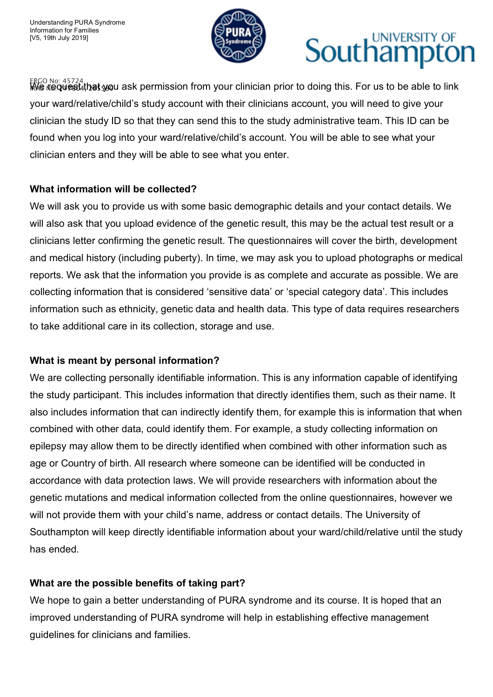

## UNIVERSITY OF Southamp

ERGO No: 45724 IRAS No: We request that you ask permission from your clinician prior to doing this. For us to be able to link 217804, 265580 your ward/relative/child's study account with their clinicians account, you will need to give your clinician the study ID so that they can send this to the study administrative team. This ID can be found when you log into your ward/relative/child's account. You will be able to see what your clinician enters and they will be able to see what you enter.

#### **What information will be collected?**

We will ask you to provide us with some basic demographic details and your contact details. We will also ask that you upload evidence of the genetic result, this may be the actual test result or a clinicians letter confirming the genetic result. The questionnaires will cover the birth, development and medical history (including puberty). In time, we may ask you to upload photographs or medical reports. We ask that the information you provide is as complete and accurate as possible. We are collecting information that is considered 'sensitive data' or 'special category data'. This includes information such as ethnicity, genetic data and health data. This type of data requires researchers to take additional care in its collection, storage and use.

#### **What is meant by personal information?**

We are collecting personally identifiable information. This is any information capable of identifying the study participant. This includes information that directly identifies them, such as their name. It also includes information that can indirectly identify them, for example this is information that when combined with other data, could identify them. For example, a study collecting information on epilepsy may allow them to be directly identified when combined with other information such as age or Country of birth. All research where someone can be identified will be conducted in accordance with data protection laws. We will provide researchers with information about the genetic mutations and medical information collected from the online questionnaires, however we will not provide them with your child's name, address or contact details. The University of Southampton will keep directly identifiable information about your ward/child/relative until the study has ended.

#### **What are the possible benefits of taking part?**

We hope to gain a better understanding of PURA syndrome and its course. It is hoped that an improved understanding of PURA syndrome will help in establishing effective management guidelines for clinicians and families.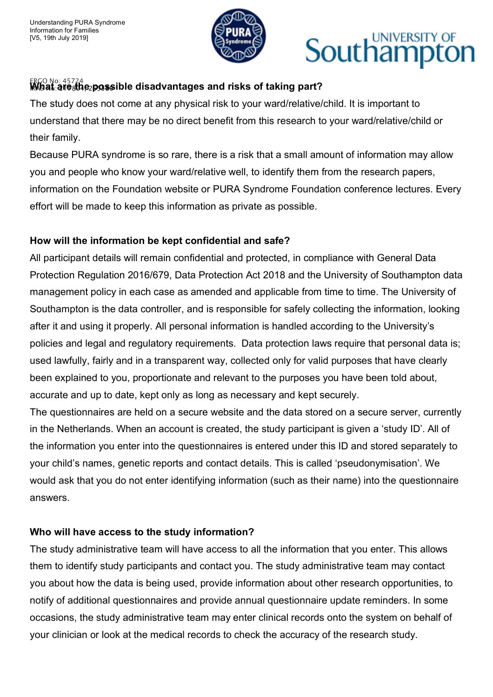

## UNIVERSITY OF Southampton

#### <sub>ERGO No: 45724</sub><br>Mbat∶areംthe⊵possible disadvantages and risks of taking part?

The study does not come at any physical risk to your ward/relative/child. It is important to understand that there may be no direct benefit from this research to your ward/relative/child or their family.

Because PURA syndrome is so rare, there is a risk that a small amount of information may allow you and people who know your ward/relative well, to identify them from the research papers, information on the Foundation website or PURA Syndrome Foundation conference lectures. Every effort will be made to keep this information as private as possible.

#### **How will the information be kept confidential and safe?**

All participant details will remain confidential and protected, in compliance with General Data Protection Regulation 2016/679, Data Protection Act 2018 and the University of Southampton data management policy in each case as amended and applicable from time to time. The University of Southampton is the data controller, and is responsible for safely collecting the information, looking after it and using it properly. All personal information is handled according to the University's policies and legal and regulatory requirements. Data protection laws require that personal data is; used lawfully, fairly and in a transparent way, collected only for valid purposes that have clearly been explained to you, proportionate and relevant to the purposes you have been told about, accurate and up to date, kept only as long as necessary and kept securely.

The questionnaires are held on a secure website and the data stored on a secure server, currently in the Netherlands. When an account is created, the study participant is given a 'study ID'. All of the information you enter into the questionnaires is entered under this ID and stored separately to your child's names, genetic reports and contact details. This is called 'pseudonymisation'. We would ask that you do not enter identifying information (such as their name) into the questionnaire answers.

#### **Who will have access to the study information?**

The study administrative team will have access to all the information that you enter. This allows them to identify study participants and contact you. The study administrative team may contact you about how the data is being used, provide information about other research opportunities, to notify of additional questionnaires and provide annual questionnaire update reminders. In some occasions, the study administrative team may enter clinical records onto the system on behalf of your clinician or look at the medical records to check the accuracy of the research study.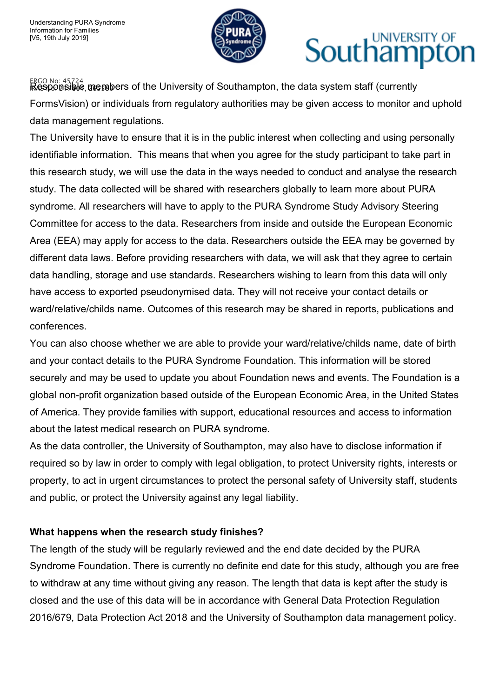

## UNIVERSITY OF Southampt

 $_{\rm IRCS}$ ର <sub>No: 45724</sub><br>**ikesponsiele**, nesnabers of the University of Southampton, the data system staff (currently FormsVision) or individuals from regulatory authorities may be given access to monitor and uphold data management regulations.

The University have to ensure that it is in the public interest when collecting and using personally identifiable information. This means that when you agree for the study participant to take part in this research study, we will use the data in the ways needed to conduct and analyse the research study. The data collected will be shared with researchers globally to learn more about PURA syndrome. All researchers will have to apply to the PURA Syndrome Study Advisory Steering Committee for access to the data. Researchers from inside and outside the European Economic Area (EEA) may apply for access to the data. Researchers outside the EEA may be governed by different data laws. Before providing researchers with data, we will ask that they agree to certain data handling, storage and use standards. Researchers wishing to learn from this data will only have access to exported pseudonymised data. They will not receive your contact details or ward/relative/childs name. Outcomes of this research may be shared in reports, publications and conferences.

You can also choose whether we are able to provide your ward/relative/childs name, date of birth and your contact details to the PURA Syndrome Foundation. This information will be stored securely and may be used to update you about Foundation news and events. The Foundation is a global non-profit organization based outside of the European Economic Area, in the United States of America. They provide families with support, educational resources and access to information about the latest medical research on PURA syndrome.

As the data controller, the University of Southampton, may also have to disclose information if required so by law in order to comply with legal obligation, to protect University rights, interests or property, to act in urgent circumstances to protect the personal safety of University staff, students and public, or protect the University against any legal liability.

#### **What happens when the research study finishes?**

The length of the study will be regularly reviewed and the end date decided by the PURA Syndrome Foundation. There is currently no definite end date for this study, although you are free to withdraw at any time without giving any reason. The length that data is kept after the study is closed and the use of this data will be in accordance with General Data Protection Regulation 2016/679, Data Protection Act 2018 and the University of Southampton data management policy.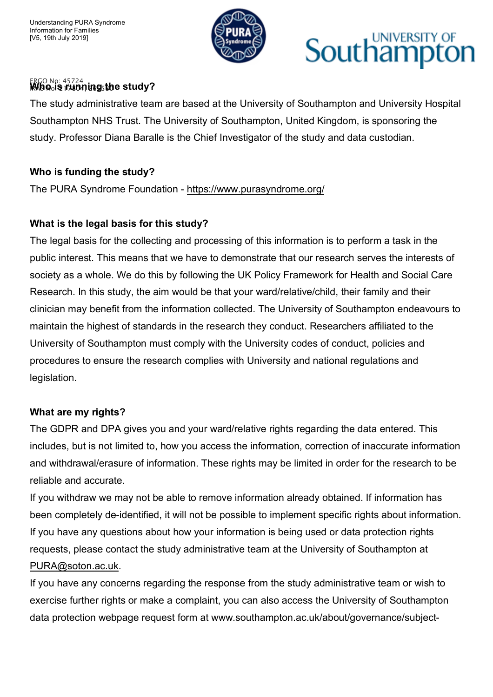

## UNIVERSITY OF Southamp

### ERGO No: 45724<br>**MAB Qols 171804, ing<sub>5</sub>the study?**

The study administrative team are based at the University of Southampton and University Hospital Southampton NHS Trust. The University of Southampton, United Kingdom, is sponsoring the study. Professor Diana Baralle is the Chief Investigator of the study and data custodian.

#### **Who is funding the study?**

The PURA Syndrome Foundation - https://www.purasyndrome.org/

#### **What is the legal basis for this study?**

The legal basis for the collecting and processing of this information is to perform a task in the public interest. This means that we have to demonstrate that our research serves the interests of society as a whole. We do this by following the UK Policy Framework for Health and Social Care Research. In this study, the aim would be that your ward/relative/child, their family and their clinician may benefit from the information collected. The University of Southampton endeavours to maintain the highest of standards in the research they conduct. Researchers affiliated to the University of Southampton must comply with the University codes of conduct, policies and procedures to ensure the research complies with University and national regulations and legislation.

#### **What are my rights?**

The GDPR and DPA gives you and your ward/relative rights regarding the data entered. This includes, but is not limited to, how you access the information, correction of inaccurate information and withdrawal/erasure of information. These rights may be limited in order for the research to be reliable and accurate.

If you withdraw we may not be able to remove information already obtained. If information has been completely de-identified, it will not be possible to implement specific rights about information. If you have any questions about how your information is being used or data protection rights requests, please contact the study administrative team at the University of Southampton at PURA@soton.ac.uk.

If you have any concerns regarding the response from the study administrative team or wish to exercise further rights or make a complaint, you can also access the University of Southampton data protection webpage request form at www.southampton.ac.uk/about/governance/subject-